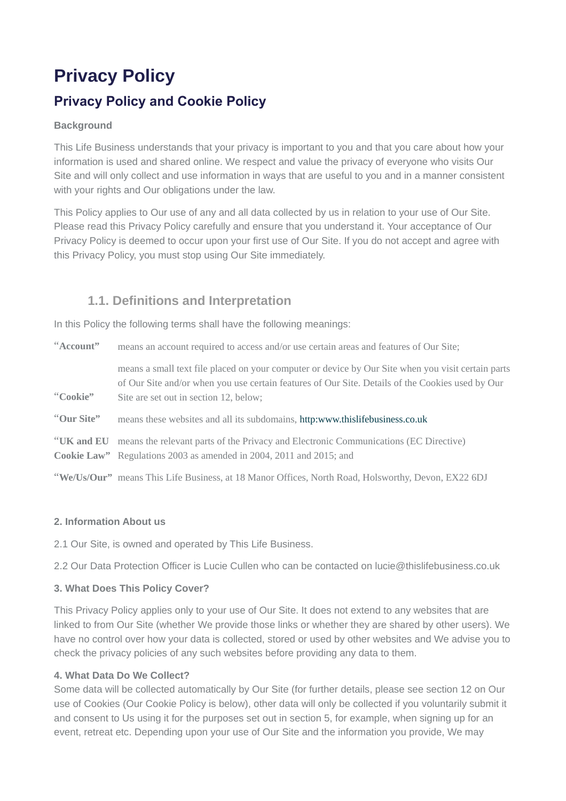# **Privacy Policy Privacy Policy and Cookie Policy**

#### **Background**

This Life Business understands that your privacy is important to you and that you care about how your information is used and shared online. We respect and value the privacy of everyone who visits Our Site and will only collect and use information in ways that are useful to you and in a manner consistent with your rights and Our obligations under the law.

This Policy applies to Our use of any and all data collected by us in relation to your use of Our Site. Please read this Privacy Policy carefully and ensure that you understand it. Your acceptance of Our Privacy Policy is deemed to occur upon your first use of Our Site. If you do not accept and agree with this Privacy Policy, you must stop using Our Site immediately.

# **1.1. Definitions and Interpretation**

In this Policy the following terms shall have the following meanings:

| "Account"  | means an account required to access and/or use certain areas and features of Our Site;                                                                                                                                                           |
|------------|--------------------------------------------------------------------------------------------------------------------------------------------------------------------------------------------------------------------------------------------------|
| "Cookie"   | means a small text file placed on your computer or device by Our Site when you visit certain parts<br>of Our Site and/or when you use certain features of Our Site. Details of the Cookies used by Our<br>Site are set out in section 12, below; |
| "Our Site" | means these websites and all its subdomains, http:www.thislifebusiness.co.uk                                                                                                                                                                     |
|            | "UK and EU means the relevant parts of the Privacy and Electronic Communications (EC Directive)<br>Cookie Law" Regulations 2003 as amended in 2004, 2011 and 2015; and                                                                           |
|            | "We/Us/Our" means This Life Business, at 18 Manor Offices, North Road, Holsworthy, Devon, EX22 6DJ                                                                                                                                               |

#### **2. Information About us**

2.1 Our Site, is owned and operated by This Life Business.

2.2 Our Data Protection Officer is Lucie Cullen who can be contacted on lucie@thislifebusiness.co.uk

#### **3. What Does This Policy Cover?**

This Privacy Policy applies only to your use of Our Site. It does not extend to any websites that are linked to from Our Site (whether We provide those links or whether they are shared by other users). We have no control over how your data is collected, stored or used by other websites and We advise you to check the privacy policies of any such websites before providing any data to them.

#### **4. What Data Do We Collect?**

Some data will be collected automatically by Our Site (for further details, please see section 12 on Our use of Cookies (Our Cookie Policy is below), other data will only be collected if you voluntarily submit it and consent to Us using it for the purposes set out in section 5, for example, when signing up for an event, retreat etc. Depending upon your use of Our Site and the information you provide, We may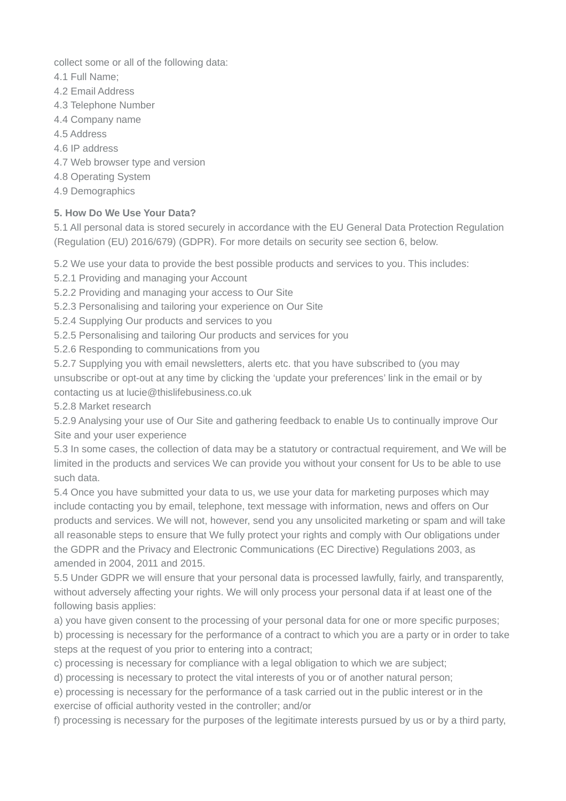collect some or all of the following data:

- 4.1 Full Name;
- 4.2 Email Address
- 4.3 Telephone Number
- 4.4 Company name
- 4.5 Address
- 4.6 IP address
- 4.7 Web browser type and version
- 4.8 Operating System
- 4.9 Demographics

## **5. How Do We Use Your Data?**

5.1 All personal data is stored securely in accordance with the EU General Data Protection Regulation (Regulation (EU) 2016/679) (GDPR). For more details on security see section 6, below.

5.2 We use your data to provide the best possible products and services to you. This includes:

- 5.2.1 Providing and managing your Account
- 5.2.2 Providing and managing your access to Our Site
- 5.2.3 Personalising and tailoring your experience on Our Site
- 5.2.4 Supplying Our products and services to you
- 5.2.5 Personalising and tailoring Our products and services for you
- 5.2.6 Responding to communications from you

5.2.7 Supplying you with email newsletters, alerts etc. that you have subscribed to (you may unsubscribe or opt-out at any time by clicking the 'update your preferences' link in the email or by contacting us at lucie@thislifebusiness.co.uk

5.2.8 Market research

5.2.9 Analysing your use of Our Site and gathering feedback to enable Us to continually improve Our Site and your user experience

5.3 In some cases, the collection of data may be a statutory or contractual requirement, and We will be limited in the products and services We can provide you without your consent for Us to be able to use such data.

5.4 Once you have submitted your data to us, we use your data for marketing purposes which may include contacting you by email, telephone, text message with information, news and offers on Our products and services. We will not, however, send you any unsolicited marketing or spam and will take all reasonable steps to ensure that We fully protect your rights and comply with Our obligations under the GDPR and the Privacy and Electronic Communications (EC Directive) Regulations 2003, as amended in 2004, 2011 and 2015.

5.5 Under GDPR we will ensure that your personal data is processed lawfully, fairly, and transparently, without adversely affecting your rights. We will only process your personal data if at least one of the following basis applies:

a) you have given consent to the processing of your personal data for one or more specific purposes;

b) processing is necessary for the performance of a contract to which you are a party or in order to take steps at the request of you prior to entering into a contract;

c) processing is necessary for compliance with a legal obligation to which we are subject;

d) processing is necessary to protect the vital interests of you or of another natural person;

e) processing is necessary for the performance of a task carried out in the public interest or in the exercise of official authority vested in the controller; and/or

f) processing is necessary for the purposes of the legitimate interests pursued by us or by a third party,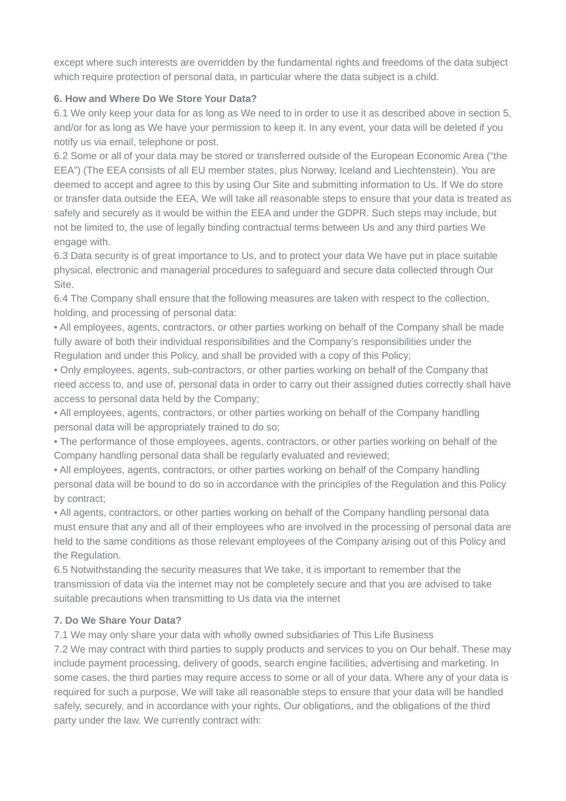except where such interests are overridden by the fundamental rights and freedoms of the data subject which require protection of personal data, in particular where the data subject is a child.

## **6. How and Where Do We Store Your Data?**

6.1 We only keep your data for as long as We need to in order to use it as described above in section 5, and/or for as long as We have your permission to keep it. In any event, your data will be deleted if you notify us via email, telephone or post.

6.2 Some or all of your data may be stored or transferred outside of the European Economic Area ("the EEA") (The EEA consists of all EU member states, plus Norway, Iceland and Liechtenstein). You are deemed to accept and agree to this by using Our Site and submitting information to Us. If We do store or transfer data outside the EEA, We will take all reasonable steps to ensure that your data is treated as safely and securely as it would be within the EEA and under the GDPR. Such steps may include, but not be limited to, the use of legally binding contractual terms between Us and any third parties We engage with.

6.3 Data security is of great importance to Us, and to protect your data We have put in place suitable physical, electronic and managerial procedures to safeguard and secure data collected through Our Site.

6.4 The Company shall ensure that the following measures are taken with respect to the collection, holding, and processing of personal data:

• All employees, agents, contractors, or other parties working on behalf of the Company shall be made fully aware of both their individual responsibilities and the Company's responsibilities under the Regulation and under this Policy, and shall be provided with a copy of this Policy;

• Only employees, agents, sub-contractors, or other parties working on behalf of the Company that need access to, and use of, personal data in order to carry out their assigned duties correctly shall have access to personal data held by the Company;

• All employees, agents, contractors, or other parties working on behalf of the Company handling personal data will be appropriately trained to do so;

• The performance of those employees, agents, contractors, or other parties working on behalf of the Company handling personal data shall be regularly evaluated and reviewed;

• All employees, agents, contractors, or other parties working on behalf of the Company handling personal data will be bound to do so in accordance with the principles of the Regulation and this Policy by contract;

• All agents, contractors, or other parties working on behalf of the Company handling personal data must ensure that any and all of their employees who are involved in the processing of personal data are held to the same conditions as those relevant employees of the Company arising out of this Policy and the Regulation.

6.5 Notwithstanding the security measures that We take, it is important to remember that the transmission of data via the internet may not be completely secure and that you are advised to take suitable precautions when transmitting to Us data via the internet

## **7. Do We Share Your Data?**

7.1 We may only share your data with wholly owned subsidiaries of This Life Business

7.2 We may contract with third parties to supply products and services to you on Our behalf. These may include payment processing, delivery of goods, search engine facilities, advertising and marketing. In some cases, the third parties may require access to some or all of your data. Where any of your data is required for such a purpose, We will take all reasonable steps to ensure that your data will be handled safely, securely, and in accordance with your rights, Our obligations, and the obligations of the third party under the law. We currently contract with: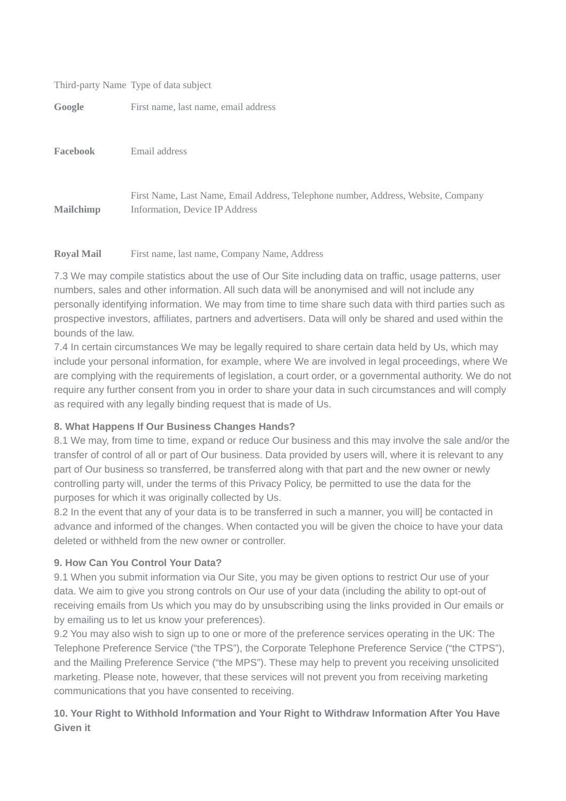#### Third-party Name Type of data subject

Google First name, last name, email address

**Facebook** Email address

**Mailchimp** First Name, Last Name, Email Address, Telephone number, Address, Website, Company Information, Device IP Address

#### **Royal Mail** First name, last name, Company Name, Address

7.3 We may compile statistics about the use of Our Site including data on traffic, usage patterns, user numbers, sales and other information. All such data will be anonymised and will not include any personally identifying information. We may from time to time share such data with third parties such as prospective investors, affiliates, partners and advertisers. Data will only be shared and used within the bounds of the law.

7.4 In certain circumstances We may be legally required to share certain data held by Us, which may include your personal information, for example, where We are involved in legal proceedings, where We are complying with the requirements of legislation, a court order, or a governmental authority. We do not require any further consent from you in order to share your data in such circumstances and will comply as required with any legally binding request that is made of Us.

## **8. What Happens If Our Business Changes Hands?**

8.1 We may, from time to time, expand or reduce Our business and this may involve the sale and/or the transfer of control of all or part of Our business. Data provided by users will, where it is relevant to any part of Our business so transferred, be transferred along with that part and the new owner or newly controlling party will, under the terms of this Privacy Policy, be permitted to use the data for the purposes for which it was originally collected by Us.

8.2 In the event that any of your data is to be transferred in such a manner, you will] be contacted in advance and informed of the changes. When contacted you will be given the choice to have your data deleted or withheld from the new owner or controller.

#### **9. How Can You Control Your Data?**

9.1 When you submit information via Our Site, you may be given options to restrict Our use of your data. We aim to give you strong controls on Our use of your data (including the ability to opt-out of receiving emails from Us which you may do by unsubscribing using the links provided in Our emails or by emailing us to let us know your preferences).

9.2 You may also wish to sign up to one or more of the preference services operating in the UK: The Telephone Preference Service ("the TPS"), the Corporate Telephone Preference Service ("the CTPS"), and the Mailing Preference Service ("the MPS"). These may help to prevent you receiving unsolicited marketing. Please note, however, that these services will not prevent you from receiving marketing communications that you have consented to receiving.

## **10. Your Right to Withhold Information and Your Right to Withdraw Information After You Have Given it**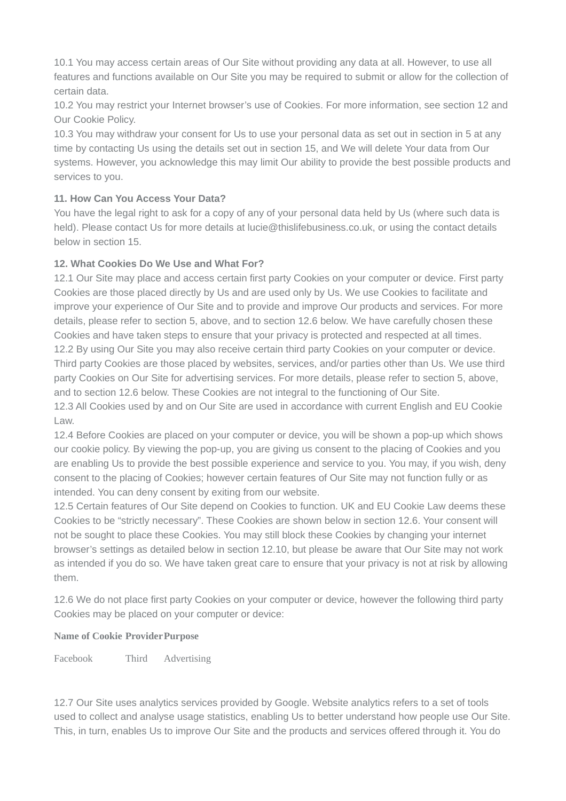10.1 You may access certain areas of Our Site without providing any data at all. However, to use all features and functions available on Our Site you may be required to submit or allow for the collection of certain data.

10.2 You may restrict your Internet browser's use of Cookies. For more information, see section 12 and Our Cookie Policy.

10.3 You may withdraw your consent for Us to use your personal data as set out in section in 5 at any time by contacting Us using the details set out in section 15, and We will delete Your data from Our systems. However, you acknowledge this may limit Our ability to provide the best possible products and services to you.

### **11. How Can You Access Your Data?**

You have the legal right to ask for a copy of any of your personal data held by Us (where such data is held). Please contact Us for more details at lucie@thislifebusiness.co.uk, or using the contact details below in section 15.

#### **12. What Cookies Do We Use and What For?**

12.1 Our Site may place and access certain first party Cookies on your computer or device. First party Cookies are those placed directly by Us and are used only by Us. We use Cookies to facilitate and improve your experience of Our Site and to provide and improve Our products and services. For more details, please refer to section 5, above, and to section 12.6 below. We have carefully chosen these Cookies and have taken steps to ensure that your privacy is protected and respected at all times. 12.2 By using Our Site you may also receive certain third party Cookies on your computer or device. Third party Cookies are those placed by websites, services, and/or parties other than Us. We use third party Cookies on Our Site for advertising services. For more details, please refer to section 5, above, and to section 12.6 below. These Cookies are not integral to the functioning of Our Site. 12.3 All Cookies used by and on Our Site are used in accordance with current English and EU Cookie

Law.

12.4 Before Cookies are placed on your computer or device, you will be shown a pop-up which shows our cookie policy. By viewing the pop-up, you are giving us consent to the placing of Cookies and you are enabling Us to provide the best possible experience and service to you. You may, if you wish, deny consent to the placing of Cookies; however certain features of Our Site may not function fully or as intended. You can deny consent by exiting from our website.

12.5 Certain features of Our Site depend on Cookies to function. UK and EU Cookie Law deems these Cookies to be "strictly necessary". These Cookies are shown below in section 12.6. Your consent will not be sought to place these Cookies. You may still block these Cookies by changing your internet browser's settings as detailed below in section 12.10, but please be aware that Our Site may not work as intended if you do so. We have taken great care to ensure that your privacy is not at risk by allowing them.

12.6 We do not place first party Cookies on your computer or device, however the following third party Cookies may be placed on your computer or device:

#### **Name of Cookie ProviderPurpose**

Facebook Third Advertising

12.7 Our Site uses analytics services provided by Google. Website analytics refers to a set of tools used to collect and analyse usage statistics, enabling Us to better understand how people use Our Site. This, in turn, enables Us to improve Our Site and the products and services offered through it. You do